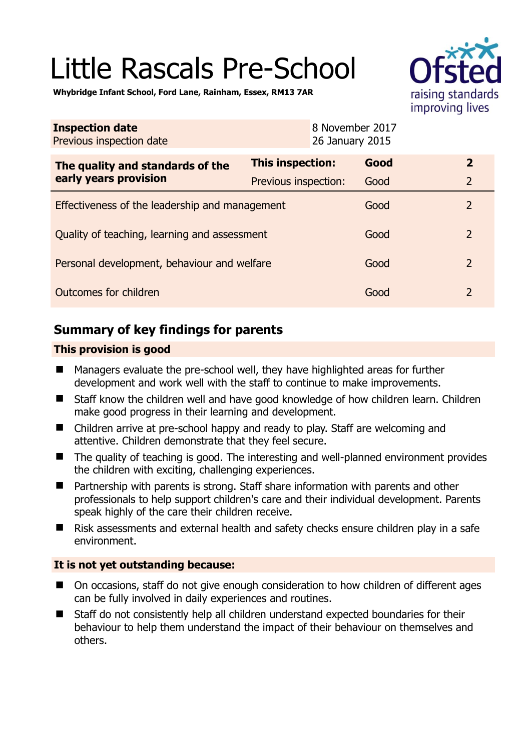# Little Rascals Pre-School



**Whybridge Infant School, Ford Lane, Rainham, Essex, RM13 7AR** 

| <b>Inspection date</b><br>Previous inspection date        |                         | 8 November 2017<br>26 January 2015 |                |
|-----------------------------------------------------------|-------------------------|------------------------------------|----------------|
| The quality and standards of the<br>early years provision | <b>This inspection:</b> | Good                               | $\overline{2}$ |
|                                                           | Previous inspection:    | Good                               | $\overline{2}$ |
| Effectiveness of the leadership and management            |                         | Good                               | $\overline{2}$ |
| Quality of teaching, learning and assessment              |                         | Good                               | $\overline{2}$ |
| Personal development, behaviour and welfare               |                         | Good                               | $\overline{2}$ |
| Outcomes for children                                     |                         | Good                               | $\overline{2}$ |

# **Summary of key findings for parents**

## **This provision is good**

- Managers evaluate the pre-school well, they have highlighted areas for further development and work well with the staff to continue to make improvements.
- Staff know the children well and have good knowledge of how children learn. Children make good progress in their learning and development.
- Children arrive at pre-school happy and ready to play. Staff are welcoming and attentive. Children demonstrate that they feel secure.
- The quality of teaching is good. The interesting and well-planned environment provides the children with exciting, challenging experiences.
- Partnership with parents is strong. Staff share information with parents and other professionals to help support children's care and their individual development. Parents speak highly of the care their children receive.
- Risk assessments and external health and safety checks ensure children play in a safe environment.

## **It is not yet outstanding because:**

- On occasions, staff do not give enough consideration to how children of different ages can be fully involved in daily experiences and routines.
- Staff do not consistently help all children understand expected boundaries for their behaviour to help them understand the impact of their behaviour on themselves and others.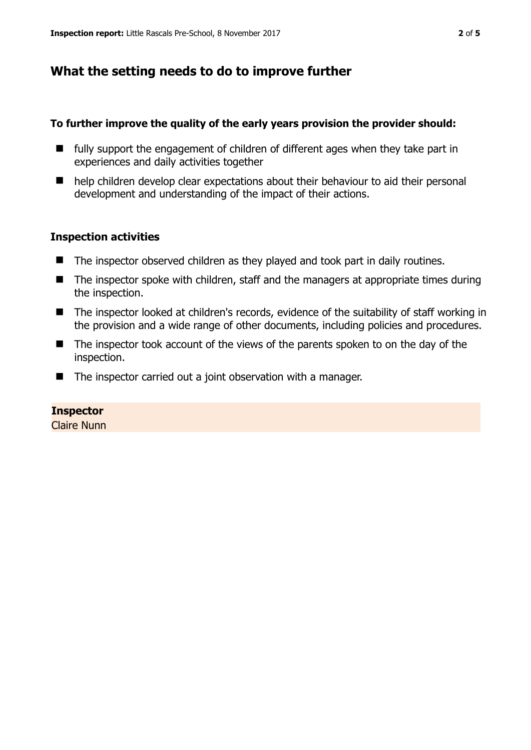# **What the setting needs to do to improve further**

#### **To further improve the quality of the early years provision the provider should:**

- $\blacksquare$  fully support the engagement of children of different ages when they take part in experiences and daily activities together
- help children develop clear expectations about their behaviour to aid their personal development and understanding of the impact of their actions.

### **Inspection activities**

- The inspector observed children as they played and took part in daily routines.
- $\blacksquare$  The inspector spoke with children, staff and the managers at appropriate times during the inspection.
- The inspector looked at children's records, evidence of the suitability of staff working in the provision and a wide range of other documents, including policies and procedures.
- The inspector took account of the views of the parents spoken to on the day of the inspection.
- The inspector carried out a joint observation with a manager.

### **Inspector**

Claire Nunn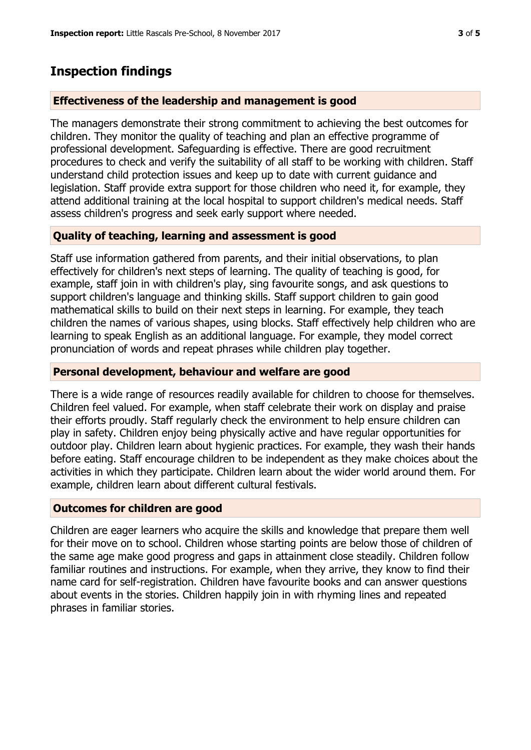## **Inspection findings**

#### **Effectiveness of the leadership and management is good**

The managers demonstrate their strong commitment to achieving the best outcomes for children. They monitor the quality of teaching and plan an effective programme of professional development. Safeguarding is effective. There are good recruitment procedures to check and verify the suitability of all staff to be working with children. Staff understand child protection issues and keep up to date with current guidance and legislation. Staff provide extra support for those children who need it, for example, they attend additional training at the local hospital to support children's medical needs. Staff assess children's progress and seek early support where needed.

### **Quality of teaching, learning and assessment is good**

Staff use information gathered from parents, and their initial observations, to plan effectively for children's next steps of learning. The quality of teaching is good, for example, staff join in with children's play, sing favourite songs, and ask questions to support children's language and thinking skills. Staff support children to gain good mathematical skills to build on their next steps in learning. For example, they teach children the names of various shapes, using blocks. Staff effectively help children who are learning to speak English as an additional language. For example, they model correct pronunciation of words and repeat phrases while children play together.

#### **Personal development, behaviour and welfare are good**

There is a wide range of resources readily available for children to choose for themselves. Children feel valued. For example, when staff celebrate their work on display and praise their efforts proudly. Staff regularly check the environment to help ensure children can play in safety. Children enjoy being physically active and have regular opportunities for outdoor play. Children learn about hygienic practices. For example, they wash their hands before eating. Staff encourage children to be independent as they make choices about the activities in which they participate. Children learn about the wider world around them. For example, children learn about different cultural festivals.

#### **Outcomes for children are good**

Children are eager learners who acquire the skills and knowledge that prepare them well for their move on to school. Children whose starting points are below those of children of the same age make good progress and gaps in attainment close steadily. Children follow familiar routines and instructions. For example, when they arrive, they know to find their name card for self-registration. Children have favourite books and can answer questions about events in the stories. Children happily join in with rhyming lines and repeated phrases in familiar stories.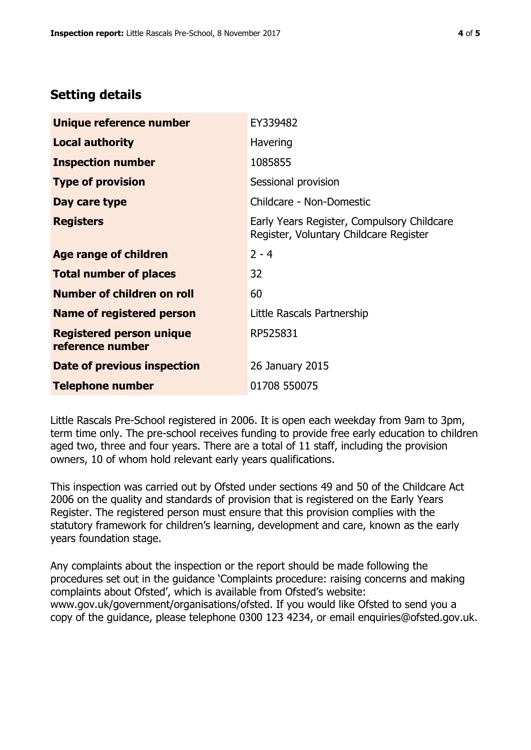## **Setting details**

| Unique reference number                             | EY339482                                                                             |  |
|-----------------------------------------------------|--------------------------------------------------------------------------------------|--|
| <b>Local authority</b>                              | Havering                                                                             |  |
| <b>Inspection number</b>                            | 1085855                                                                              |  |
| <b>Type of provision</b>                            | Sessional provision                                                                  |  |
| Day care type                                       | Childcare - Non-Domestic                                                             |  |
| <b>Registers</b>                                    | Early Years Register, Compulsory Childcare<br>Register, Voluntary Childcare Register |  |
| Age range of children                               | $2 - 4$                                                                              |  |
| <b>Total number of places</b>                       | 32                                                                                   |  |
| Number of children on roll                          | 60                                                                                   |  |
| <b>Name of registered person</b>                    | Little Rascals Partnership                                                           |  |
| <b>Registered person unique</b><br>reference number | RP525831                                                                             |  |
| Date of previous inspection                         | 26 January 2015                                                                      |  |
| <b>Telephone number</b>                             | 01708 550075                                                                         |  |

Little Rascals Pre-School registered in 2006. It is open each weekday from 9am to 3pm, term time only. The pre-school receives funding to provide free early education to children aged two, three and four years. There are a total of 11 staff, including the provision owners, 10 of whom hold relevant early years qualifications.

This inspection was carried out by Ofsted under sections 49 and 50 of the Childcare Act 2006 on the quality and standards of provision that is registered on the Early Years Register. The registered person must ensure that this provision complies with the statutory framework for children's learning, development and care, known as the early years foundation stage.

Any complaints about the inspection or the report should be made following the procedures set out in the guidance 'Complaints procedure: raising concerns and making complaints about Ofsted', which is available from Ofsted's website: www.gov.uk/government/organisations/ofsted. If you would like Ofsted to send you a copy of the guidance, please telephone 0300 123 4234, or email enquiries@ofsted.gov.uk.